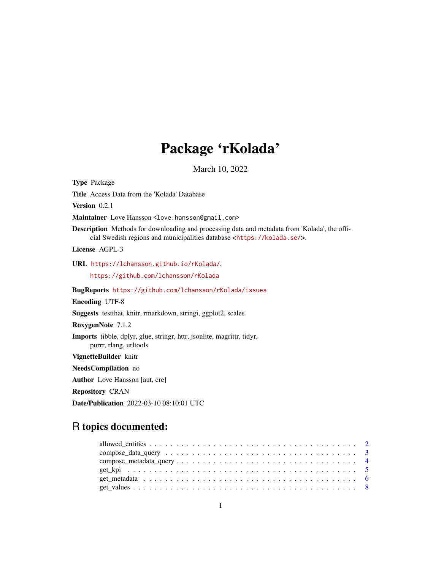# Package 'rKolada'

March 10, 2022

<span id="page-0-0"></span>Type Package Title Access Data from the 'Kolada' Database Version 0.2.1 Maintainer Love Hansson <love.hansson@gmail.com> Description Methods for downloading and processing data and metadata from 'Kolada', the official Swedish regions and municipalities database <<https://kolada.se/>>. License AGPL-3 URL <https://lchansson.github.io/rKolada/>, <https://github.com/lchansson/rKolada> BugReports <https://github.com/lchansson/rKolada/issues> Encoding UTF-8 Suggests testthat, knitr, rmarkdown, stringi, ggplot2, scales RoxygenNote 7.1.2 Imports tibble, dplyr, glue, stringr, httr, jsonlite, magrittr, tidyr, purrr, rlang, urltools VignetteBuilder knitr NeedsCompilation no Author Love Hansson [aut, cre] Repository CRAN Date/Publication 2022-03-10 08:10:01 UTC

## R topics documented: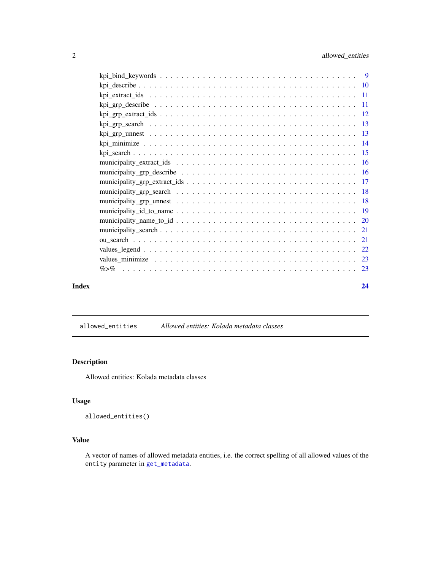<span id="page-1-0"></span>

|       | values minimize $\ldots \ldots \ldots \ldots \ldots \ldots \ldots \ldots \ldots \ldots \ldots \ldots \ldots$ |    |
|-------|--------------------------------------------------------------------------------------------------------------|----|
|       |                                                                                                              |    |
| Index |                                                                                                              | 24 |

<span id="page-1-1"></span>allowed\_entities *Allowed entities: Kolada metadata classes*

#### Description

Allowed entities: Kolada metadata classes

#### Usage

```
allowed_entities()
```
#### Value

A vector of names of allowed metadata entities, i.e. the correct spelling of all allowed values of the entity parameter in [get\\_metadata](#page-5-1).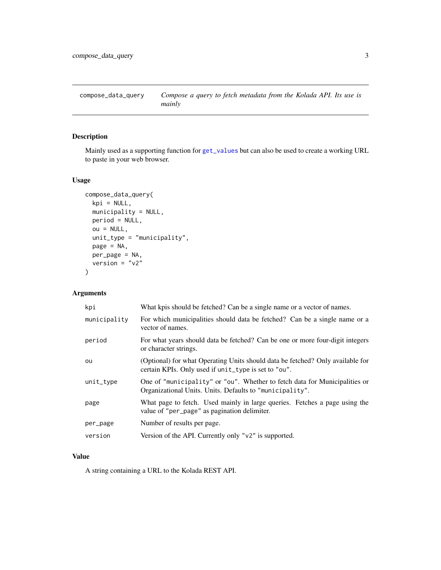<span id="page-2-0"></span>compose\_data\_query *Compose a query to fetch metadata from the Kolada API. Its use is mainly*

#### Description

Mainly used as a supporting function for [get\\_values](#page-7-1) but can also be used to create a working URL to paste in your web browser.

#### Usage

```
compose_data_query(
 kpi = NULL,municipality = NULL,
 period = NULL,
 ou = NULL,unit_type = "municipality",
 page = NA,
 per_page = NA,
 version = "v2")
```
#### Arguments

| kpi          | What kpis should be fetched? Can be a single name or a vector of names.                                                                |
|--------------|----------------------------------------------------------------------------------------------------------------------------------------|
| municipality | For which municipalities should data be fetched? Can be a single name or a<br>vector of names.                                         |
| period       | For what years should data be fetched? Can be one or more four-digit integers<br>or character strings.                                 |
| ou           | (Optional) for what Operating Units should data be fetched? Only available for<br>certain KPIs. Only used if unit_type is set to "ou". |
| unit_type    | One of "municipality" or "ou". Whether to fetch data for Municipalities or<br>Organizational Units. Units. Defaults to "municipality". |
| page         | What page to fetch. Used mainly in large queries. Fetches a page using the<br>value of "per_page" as pagination delimiter.             |
| per_page     | Number of results per page.                                                                                                            |
| version      | Version of the API. Currently only "v2" is supported.                                                                                  |

#### Value

A string containing a URL to the Kolada REST API.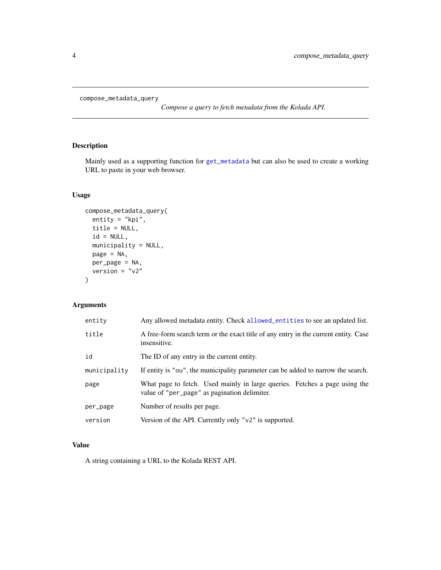```
compose_metadata_query
```
*Compose a query to fetch metadata from the Kolada API.*

#### Description

Mainly used as a supporting function for [get\\_metadata](#page-5-1) but can also be used to create a working URL to paste in your web browser.

#### Usage

```
compose_metadata_query(
 entity = "kpi",
 title = NULL,
 id = NULL,municipality = NULL,
 page = NA,
 per_page = NA,
 version = "v2")
```
#### Arguments

| entity       | Any allowed metadata entity. Check allowed_entities to see an updated list.                                                |
|--------------|----------------------------------------------------------------------------------------------------------------------------|
| title        | A free-form search term or the exact title of any entry in the current entity. Case<br>insensitive.                        |
| id           | The ID of any entry in the current entity.                                                                                 |
| municipality | If entity is "ou", the municipality parameter can be added to narrow the search.                                           |
| page         | What page to fetch. Used mainly in large queries. Fetches a page using the<br>value of "per_page" as pagination delimiter. |
| per_page     | Number of results per page.                                                                                                |
| version      | Version of the API. Currently only " $v2$ " is supported.                                                                  |

#### Value

A string containing a URL to the Kolada REST API.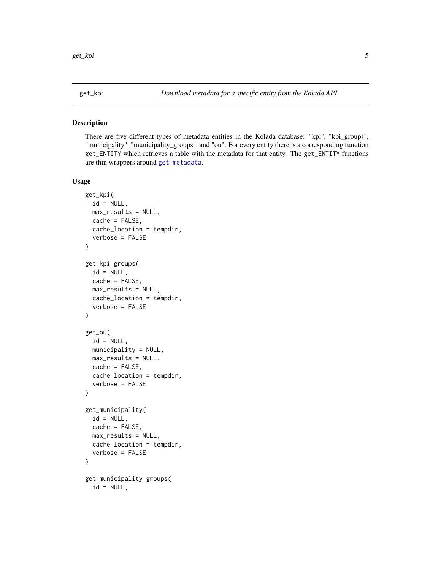#### <span id="page-4-2"></span><span id="page-4-1"></span><span id="page-4-0"></span>Description

There are five different types of metadata entities in the Kolada database: "kpi", "kpi\_groups", "municipality", "municipality\_groups", and "ou". For every entity there is a corresponding function get\_ENTITY which retrieves a table with the metadata for that entity. The get\_ENTITY functions are thin wrappers around [get\\_metadata](#page-5-1).

#### Usage

```
get_kpi(
  id = NULL,max_results = NULL,
  cache = FALSE,
  cache_location = tempdir,
  verbose = FALSE
)
get_kpi_groups(
  id = NULL,cache = FALSE,max_results = NULL,
  cache_location = tempdir,
  verbose = FALSE
\lambdaget_ou(
  id = NULL,municipality = NULL,
 max_results = NULL,
  cache = FALSE,cache_location = tempdir,
  verbose = FALSE
\lambdaget_municipality(
  id = NULL,cache = FALSE,max_results = NULL,
  cache_location = tempdir,
  verbose = FALSE
)
get_municipality_groups(
  id = NULL,
```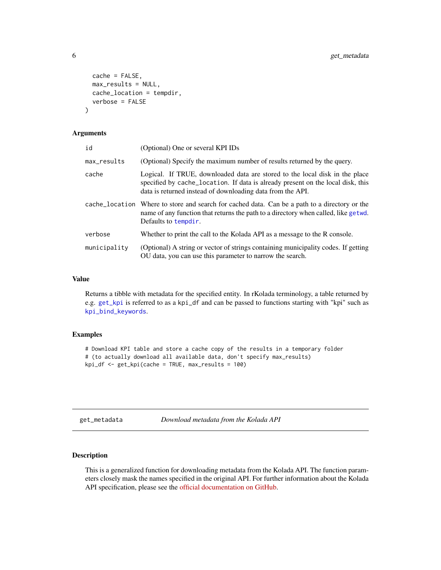```
cache = FALSE,
 max_results = NULL,
 cache_location = tempdir,
  verbose = FALSE
)
```
#### Arguments

| id           | (Optional) One or several KPI IDs                                                                                                                                                                                            |
|--------------|------------------------------------------------------------------------------------------------------------------------------------------------------------------------------------------------------------------------------|
| max_results  | (Optional) Specify the maximum number of results returned by the query.                                                                                                                                                      |
| cache        | Logical. If TRUE, downloaded data are stored to the local disk in the place<br>specified by cache_location. If data is already present on the local disk, this<br>data is returned instead of downloading data from the API. |
|              | cache_location Where to store and search for cached data. Can be a path to a directory or the<br>name of any function that returns the path to a directory when called, like getwd.<br>Defaults to tempdir.                  |
| verbose      | Whether to print the call to the Kolada API as a message to the R console.                                                                                                                                                   |
| municipality | (Optional) A string or vector of strings containing municipality codes. If getting<br>OU data, you can use this parameter to narrow the search.                                                                              |
|              |                                                                                                                                                                                                                              |

#### Value

Returns a tibble with metadata for the specified entity. In rKolada terminology, a table returned by e.g. [get\\_kpi](#page-4-1) is referred to as a kpi\_df and can be passed to functions starting with "kpi" such as [kpi\\_bind\\_keywords](#page-8-1).

#### Examples

```
# Download KPI table and store a cache copy of the results in a temporary folder
# (to actually download all available data, don't specify max_results)
kpi_df <- get_kpi(cache = TRUE, max_results = 100)
```
<span id="page-5-1"></span>get\_metadata *Download metadata from the Kolada API*

#### Description

This is a generalized function for downloading metadata from the Kolada API. The function parameters closely mask the names specified in the original API. For further information about the Kolada API specification, please see the [official documentation on GitHub.](https://github.com/Hypergene/kolada)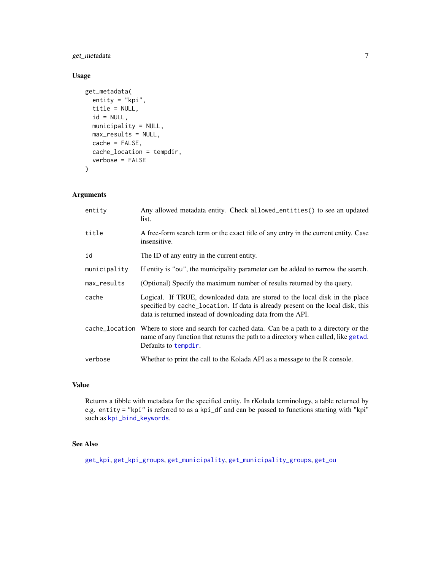<span id="page-6-0"></span>get\_metadata 7

#### Usage

```
get_metadata(
  entity = "kpi",
  title = NULL,
  id = NULL,municipality = NULL,
  max_results = NULL,
  cache = FALSE,
  cache_location = tempdir,
  verbose = FALSE
\mathcal{L}
```
#### Arguments

| entity       | Any allowed metadata entity. Check allowed_entities() to see an updated<br>list.                                                                                                                                             |
|--------------|------------------------------------------------------------------------------------------------------------------------------------------------------------------------------------------------------------------------------|
| title        | A free-form search term or the exact title of any entry in the current entity. Case<br>insensitive.                                                                                                                          |
| id           | The ID of any entry in the current entity.                                                                                                                                                                                   |
| municipality | If entity is "ou", the municipality parameter can be added to narrow the search.                                                                                                                                             |
| max_results  | (Optional) Specify the maximum number of results returned by the query.                                                                                                                                                      |
| cache        | Logical. If TRUE, downloaded data are stored to the local disk in the place<br>specified by cache_location. If data is already present on the local disk, this<br>data is returned instead of downloading data from the API. |
|              | cache_location Where to store and search for cached data. Can be a path to a directory or the<br>name of any function that returns the path to a directory when called, like getwd.<br>Defaults to tempdir.                  |
| verbose      | Whether to print the call to the Kolada API as a message to the R console.                                                                                                                                                   |

#### Value

Returns a tibble with metadata for the specified entity. In rKolada terminology, a table returned by e.g. entity = "kpi" is referred to as a kpi\_df and can be passed to functions starting with "kpi" such as [kpi\\_bind\\_keywords](#page-8-1).

#### See Also

[get\\_kpi](#page-4-1), [get\\_kpi\\_groups](#page-4-2), [get\\_municipality](#page-4-2), [get\\_municipality\\_groups](#page-4-2), [get\\_ou](#page-4-2)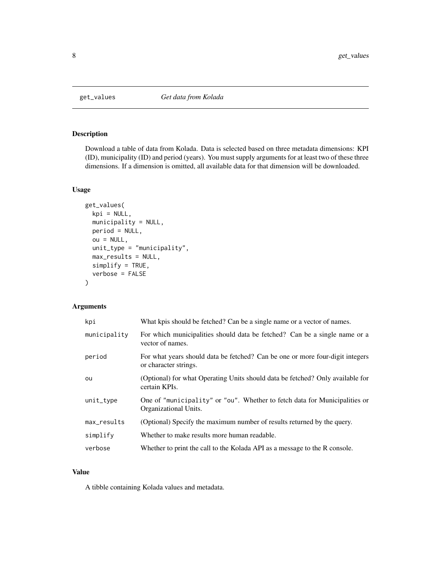<span id="page-7-1"></span><span id="page-7-0"></span>

#### Description

Download a table of data from Kolada. Data is selected based on three metadata dimensions: KPI (ID), municipality (ID) and period (years). You must supply arguments for at least two of these three dimensions. If a dimension is omitted, all available data for that dimension will be downloaded.

#### Usage

```
get_values(
  kpi = NULL,
  municipality = NULL,
 period = NULL,
  ou = NULL,unit_type = "municipality",
 max_results = NULL,
  simplify = TRUE,
  verbose = FALSE
)
```
#### Arguments

| kpi          | What kpis should be fetched? Can be a single name or a vector of names.                                |
|--------------|--------------------------------------------------------------------------------------------------------|
| municipality | For which municipalities should data be fetched? Can be a single name or a<br>vector of names.         |
| period       | For what years should data be fetched? Can be one or more four-digit integers<br>or character strings. |
| ou           | (Optional) for what Operating Units should data be fetched? Only available for<br>certain KPIs.        |
| unit_type    | One of "municipality" or "ou". Whether to fetch data for Municipalities or<br>Organizational Units.    |
| max_results  | (Optional) Specify the maximum number of results returned by the query.                                |
| simplify     | Whether to make results more human readable.                                                           |
| verbose      | Whether to print the call to the Kolada API as a message to the R console.                             |

#### Value

A tibble containing Kolada values and metadata.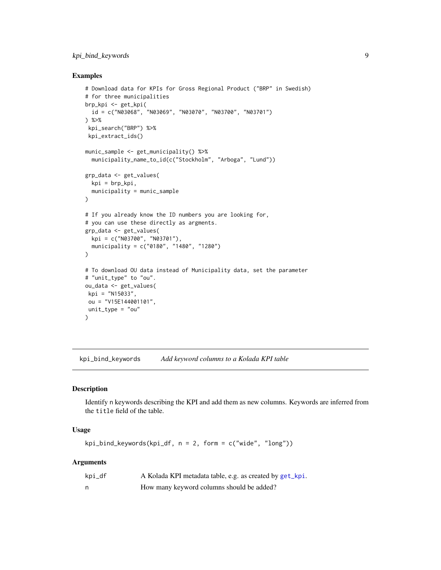#### <span id="page-8-0"></span>kpi\_bind\_keywords 9

#### Examples

```
# Download data for KPIs for Gross Regional Product ("BRP" in Swedish)
# for three municipalities
brp_kpi <- get_kpi(
  id = c("N03068", "N03069", "N03070", "N03700", "N03701")
) %>%
 kpi_search("BRP") %>%
 kpi_extract_ids()
munic_sample <- get_municipality() %>%
  municipality_name_to_id(c("Stockholm", "Arboga", "Lund"))
grp_data <- get_values(
 kpi = brp_kpi,
  municipality = munic_sample
\mathcal{L}# If you already know the ID numbers you are looking for,
# you can use these directly as argments.
grp_data <- get_values(
  kpi = c("N03700", "N03701"),
  municipality = c("0180", "1480", "1280")
)
# To download OU data instead of Municipality data, set the parameter
# "unit_type" to "ou".
ou_data <- get_values(
kpi = "N15033",
ou = "V15E144001101",
unit_type = "ou"
\mathcal{L}
```
<span id="page-8-1"></span>kpi\_bind\_keywords *Add keyword columns to a Kolada KPI table*

#### Description

Identify n keywords describing the KPI and add them as new columns. Keywords are inferred from the title field of the table.

#### Usage

kpi\_bind\_keywords(kpi\_df, n = 2, form = c("wide", "long"))

#### Arguments

| kpi_df | A Kolada KPI metadata table, e.g. as created by get_kpi. |
|--------|----------------------------------------------------------|
| n      | How many keyword columns should be added?                |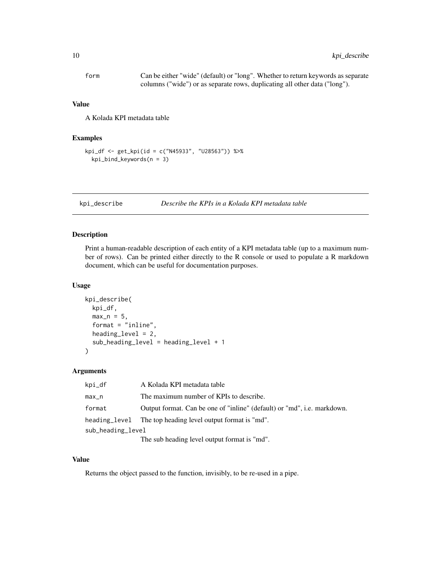<span id="page-9-0"></span>

| form | Can be either "wide" (default) or "long". Whether to return keywords as separate |
|------|----------------------------------------------------------------------------------|
|      | columns ("wide") or as separate rows, duplicating all other data ("long").       |

#### Value

A Kolada KPI metadata table

#### Examples

```
kpi_df <- get_kpi(id = c("N45933", "U28563")) %>%
  kpi_bind_keywords(n = 3)
```
kpi\_describe *Describe the KPIs in a Kolada KPI metadata table*

#### Description

Print a human-readable description of each entity of a KPI metadata table (up to a maximum number of rows). Can be printed either directly to the R console or used to populate a R markdown document, which can be useful for documentation purposes.

#### Usage

```
kpi_describe(
  kpi_df,
 max_n = 5,
  format = "inline",
  heading_level = 2,
  sub_heading_level = heading_level + 1
)
```
#### Arguments

| kpi_df            | A Kolada KPI metadata table                                             |
|-------------------|-------------------------------------------------------------------------|
| $max_n$           | The maximum number of KPIs to describe.                                 |
| format            | Output format. Can be one of "inline" (default) or "md", i.e. markdown. |
|                   | heading level The top heading level output format is "md".              |
| sub_heading_level |                                                                         |
|                   | The sub heading level output formet is "md"                             |

The sub heading level output format is "md".

#### Value

Returns the object passed to the function, invisibly, to be re-used in a pipe.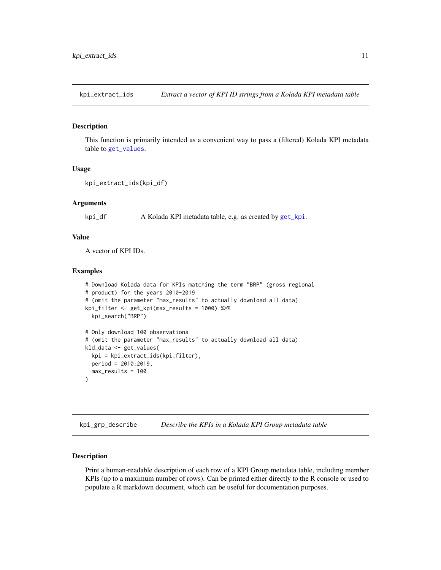<span id="page-10-0"></span>kpi\_extract\_ids *Extract a vector of KPI ID strings from a Kolada KPI metadata table*

#### Description

This function is primarily intended as a convenient way to pass a (filtered) Kolada KPI metadata table to [get\\_values](#page-7-1).

#### Usage

```
kpi_extract_ids(kpi_df)
```
#### Arguments

kpi\_df A Kolada KPI metadata table, e.g. as created by [get\\_kpi](#page-4-1).

#### Value

A vector of KPI IDs.

#### Examples

```
# Download Kolada data for KPIs matching the term "BRP" (gross regional
# product) for the years 2010-2019
# (omit the parameter "max_results" to actually download all data)
kpi_filter <- get_kpi(max_results = 1000) %>%
 kpi_search("BRP")
# Only download 100 observations
# (omit the parameter "max_results" to actually download all data)
kld_data <- get_values(
 kpi = kpi_extract_ids(kpi_filter),
 period = 2010:2019,
 max_results = 100
)
```
<span id="page-10-1"></span>kpi\_grp\_describe *Describe the KPIs in a Kolada KPI Group metadata table*

#### Description

Print a human-readable description of each row of a KPI Group metadata table, including member KPIs (up to a maximum number of rows). Can be printed either directly to the R console or used to populate a R markdown document, which can be useful for documentation purposes.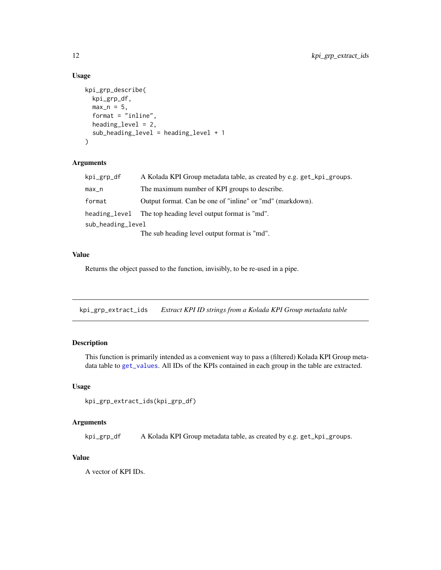#### Usage

```
kpi_grp_describe(
  kpi_grp_df,
  max_n = 5,
  format = "inline",
  heading_level = 2,
  sub_heading_level = heading_level + 1
)
```
#### Arguments

| kpi_grp_df        | A Kolada KPI Group metadata table, as created by e.g. get_kpi_groups. |
|-------------------|-----------------------------------------------------------------------|
| max_n             | The maximum number of KPI groups to describe.                         |
| format            | Output format. Can be one of "inline" or "md" (markdown).             |
| heading_level     | The top heading level output format is "md".                          |
| sub_heading_level |                                                                       |
|                   | The sub heading level output format is "md".                          |

#### Value

Returns the object passed to the function, invisibly, to be re-used in a pipe.

kpi\_grp\_extract\_ids *Extract KPI ID strings from a Kolada KPI Group metadata table*

#### Description

This function is primarily intended as a convenient way to pass a (filtered) Kolada KPI Group metadata table to [get\\_values](#page-7-1). All IDs of the KPIs contained in each group in the table are extracted.

#### Usage

```
kpi_grp_extract_ids(kpi_grp_df)
```
#### Arguments

kpi\_grp\_df A Kolada KPI Group metadata table, as created by e.g. get\_kpi\_groups.

#### Value

A vector of KPI IDs.

<span id="page-11-0"></span>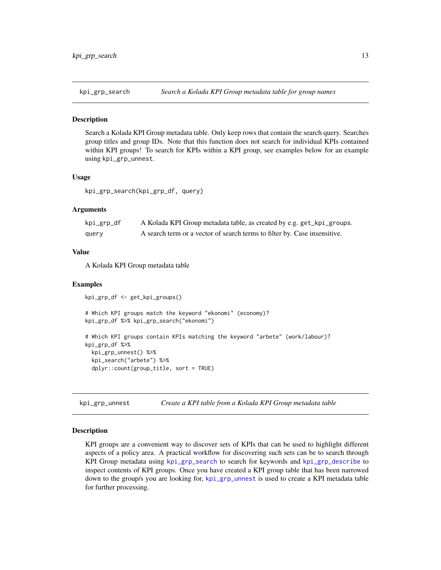<span id="page-12-1"></span><span id="page-12-0"></span>

#### Description

Search a Kolada KPI Group metadata table. Only keep rows that contain the search query. Searches group titles and group IDs. Note that this function does not search for individual KPIs contained within KPI groups! To search for KPIs within a KPI group, see examples below for an example using kpi\_grp\_unnest.

#### Usage

kpi\_grp\_search(kpi\_grp\_df, query)

#### **Arguments**

| kpi_grp_df | A Kolada KPI Group metadata table, as created by e.g. get_kpi_groups.     |
|------------|---------------------------------------------------------------------------|
| query      | A search term or a vector of search terms to filter by. Case insensitive. |

#### Value

A Kolada KPI Group metadata table

#### Examples

kpi\_grp\_df <- get\_kpi\_groups()

# Which KPI groups match the keyword "ekonomi" (economy)?

```
kpi_grp_df %>% kpi_grp_search("ekonomi")
# Which KPI groups contain KPIs matching the keyword "arbete" (work/labour)?
kpi_grp_df %>%
 kpi_grp_unnest() %>%
 kpi_search("arbete") %>%
 dplyr::count(group_title, sort = TRUE)
```
<span id="page-12-2"></span>kpi\_grp\_unnest *Create a KPI table from a Kolada KPI Group metadata table*

#### Description

KPI groups are a convenient way to discover sets of KPIs that can be used to highlight different aspects of a policy area. A practical workflow for discovering such sets can be to search through KPI Group metadata using [kpi\\_grp\\_search](#page-12-1) to search for keywords and [kpi\\_grp\\_describe](#page-10-1) to inspect contents of KPI groups. Once you have created a KPI group table that has been narrowed down to the group/s you are looking for, [kpi\\_grp\\_unnest](#page-12-2) is used to create a KPI metadata table for further processing.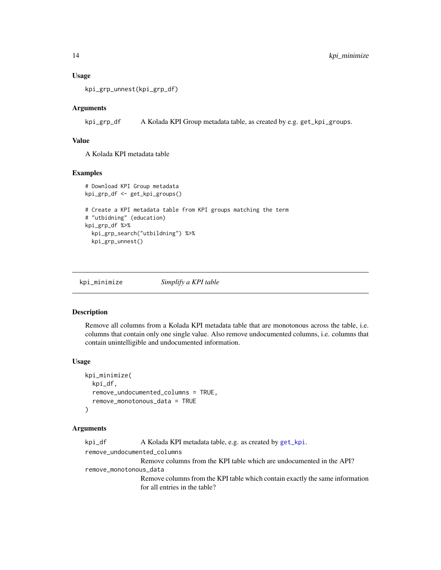#### Usage

```
kpi_grp_unnest(kpi_grp_df)
```
#### Arguments

kpi\_grp\_df A Kolada KPI Group metadata table, as created by e.g. get\_kpi\_groups.

#### Value

A Kolada KPI metadata table

#### Examples

```
# Download KPI Group metadata
kpi_grp_df <- get_kpi_groups()
# Create a KPI metadata table from KPI groups matching the term
# "utbidning" (education)
kpi_grp_df %>%
 kpi_grp_search("utbildning") %>%
 kpi_grp_unnest()
```
kpi\_minimize *Simplify a KPI table*

#### Description

Remove all columns from a Kolada KPI metadata table that are monotonous across the table, i.e. columns that contain only one single value. Also remove undocumented columns, i.e. columns that contain unintelligible and undocumented information.

#### Usage

```
kpi_minimize(
 kpi_df,
  remove_undocumented_columns = TRUE,
  remove_monotonous_data = TRUE
)
```
#### Arguments

```
get_kpi.
remove_undocumented_columns
              Remove columns from the KPI table which are undocumented in the API?
remove_monotonous_data
              Remove columns from the KPI table which contain exactly the same information
              for all entries in the table?
```
<span id="page-13-0"></span>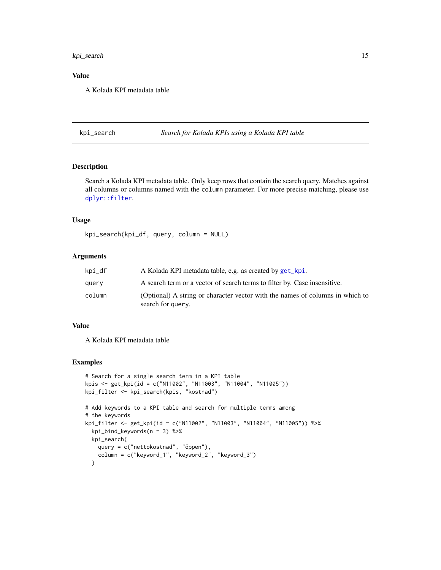<span id="page-14-0"></span>kpi\_search 15

#### Value

A Kolada KPI metadata table

kpi\_search *Search for Kolada KPIs using a Kolada KPI table*

#### Description

Search a Kolada KPI metadata table. Only keep rows that contain the search query. Matches against all columns or columns named with the column parameter. For more precise matching, please use [dplyr::filter](#page-0-0).

#### Usage

kpi\_search(kpi\_df, query, column = NULL)

#### Arguments

| kpi_df | A Kolada KPI metadata table, e.g. as created by get_kpi.                                           |
|--------|----------------------------------------------------------------------------------------------------|
| query  | A search term or a vector of search terms to filter by. Case insensitive.                          |
| column | (Optional) A string or character vector with the names of columns in which to<br>search for query. |

#### Value

A Kolada KPI metadata table

#### Examples

```
# Search for a single search term in a KPI table
kpis <- get_kpi(id = c("N11002", "N11003", "N11004", "N11005"))
kpi_filter <- kpi_search(kpis, "kostnad")
# Add keywords to a KPI table and search for multiple terms among
# the keywords
kpi_filter <- get_kpi(id = c("N11002", "N11003", "N11004", "N11005")) %>%
 kpi_bind_keywords(n = 3) %>%
 kpi_search(
   query = c("nettokostnad", "öppen"),
   column = c("keyword_1", "keyword_2", "keyword_3")
 \lambda
```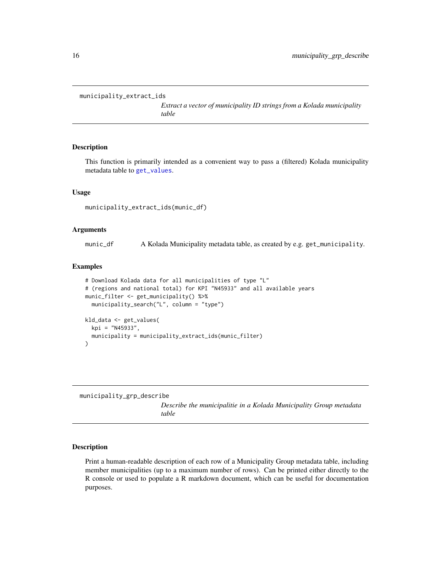```
municipality_extract_ids
```
*Extract a vector of municipality ID strings from a Kolada municipality table*

#### Description

This function is primarily intended as a convenient way to pass a (filtered) Kolada municipality metadata table to [get\\_values](#page-7-1).

#### Usage

municipality\_extract\_ids(munic\_df)

#### Arguments

munic\_df A Kolada Municipality metadata table, as created by e.g. get\_municipality.

#### Examples

```
# Download Kolada data for all municipalities of type "L"
# (regions and national total) for KPI "N45933" and all available years
munic_filter <- get_municipality() %>%
  municipality_search("L", column = "type")
kld_data <- get_values(
  kpi = "N45933",
  municipality = municipality_extract_ids(munic_filter)
)
```
<span id="page-15-1"></span>municipality\_grp\_describe

*Describe the municipalitie in a Kolada Municipality Group metadata table*

#### Description

Print a human-readable description of each row of a Municipality Group metadata table, including member municipalities (up to a maximum number of rows). Can be printed either directly to the R console or used to populate a R markdown document, which can be useful for documentation purposes.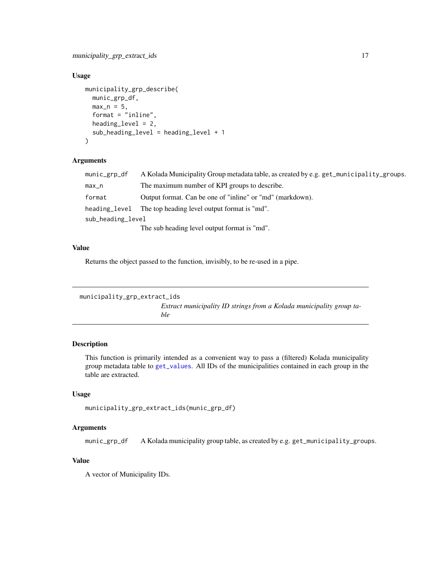#### <span id="page-16-0"></span>Usage

```
municipality_grp_describe(
 munic_grp_df,
 max_n = 5,
  format = "inline",
  heading_level = 2,
  sub_heading_level = heading_level + 1
)
```
#### Arguments

| munic_grp_df      | A Kolada Municipality Group metadata table, as created by e.g. get_municipality_groups. |
|-------------------|-----------------------------------------------------------------------------------------|
| $max_n$           | The maximum number of KPI groups to describe.                                           |
| format            | Output format. Can be one of "inline" or "md" (markdown).                               |
|                   | heading level The top heading level output format is "md".                              |
| sub_heading_level |                                                                                         |
|                   | The sub heading level output format is "md".                                            |

#### Value

Returns the object passed to the function, invisibly, to be re-used in a pipe.

```
municipality_grp_extract_ids
                          Extract municipality ID strings from a Kolada municipality group ta-
                          ble
```
#### Description

This function is primarily intended as a convenient way to pass a (filtered) Kolada municipality group metadata table to [get\\_values](#page-7-1). All IDs of the municipalities contained in each group in the table are extracted.

#### Usage

```
municipality_grp_extract_ids(munic_grp_df)
```
#### Arguments

munic\_grp\_df A Kolada municipality group table, as created by e.g. get\_municipality\_groups.

#### Value

A vector of Municipality IDs.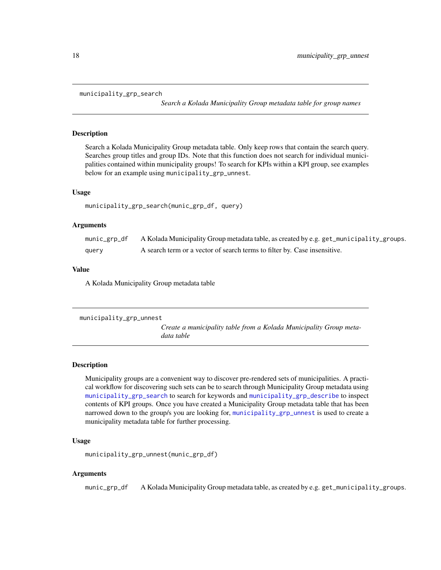```
municipality_grp_search
```
*Search a Kolada Municipality Group metadata table for group names*

#### Description

Search a Kolada Municipality Group metadata table. Only keep rows that contain the search query. Searches group titles and group IDs. Note that this function does not search for individual municipalities contained within municipality groups! To search for KPIs within a KPI group, see examples below for an example using municipality\_grp\_unnest.

#### Usage

```
municipality_grp_search(munic_grp_df, query)
```
#### Arguments

| munic_grp_df | A Kolada Municipality Group metadata table, as created by e.g. get_municipality_groups. |
|--------------|-----------------------------------------------------------------------------------------|
| query        | A search term or a vector of search terms to filter by. Case insensitive.               |

#### Value

A Kolada Municipality Group metadata table

```
municipality_grp_unnest
```
*Create a municipality table from a Kolada Municipality Group metadata table*

#### Description

Municipality groups are a convenient way to discover pre-rendered sets of municipalities. A practical workflow for discovering such sets can be to search through Municipality Group metadata using [municipality\\_grp\\_search](#page-17-1) to search for keywords and [municipality\\_grp\\_describe](#page-15-1) to inspect contents of KPI groups. Once you have created a Municipality Group metadata table that has been narrowed down to the group/s you are looking for, [municipality\\_grp\\_unnest](#page-17-2) is used to create a municipality metadata table for further processing.

#### Usage

```
municipality_grp_unnest(munic_grp_df)
```
#### Arguments

munic\_grp\_df A Kolada Municipality Group metadata table, as created by e.g. get\_municipality\_groups.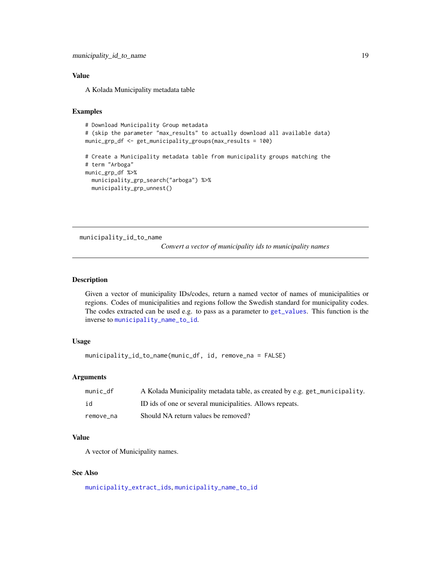#### <span id="page-18-0"></span>Value

A Kolada Municipality metadata table

#### Examples

```
# Download Municipality Group metadata
# (skip the parameter "max_results" to actually download all available data)
munic_grp_df <- get_municipality_groups(max_results = 100)
# Create a Municipality metadata table from municipality groups matching the
# term "Arboga"
munic_grp_df %>%
  municipality_grp_search("arboga") %>%
  municipality_grp_unnest()
```
<span id="page-18-1"></span>municipality\_id\_to\_name

*Convert a vector of municipality ids to municipality names*

#### Description

Given a vector of municipality IDs/codes, return a named vector of names of municipalities or regions. Codes of municipalities and regions follow the Swedish standard for municipality codes. The codes extracted can be used e.g. to pass as a parameter to [get\\_values](#page-7-1). This function is the inverse to [municipality\\_name\\_to\\_id](#page-19-1).

#### Usage

```
municipality_id_to_name(munic_df, id, remove_na = FALSE)
```
#### Arguments

| munic df  | A Kolada Municipality metadata table, as created by e.g. get_municipality. |
|-----------|----------------------------------------------------------------------------|
| id        | ID ids of one or several municipalities. Allows repeats.                   |
| remove na | Should NA return values be removed?                                        |

#### Value

A vector of Municipality names.

#### See Also

[municipality\\_extract\\_ids](#page-15-2), [municipality\\_name\\_to\\_id](#page-19-1)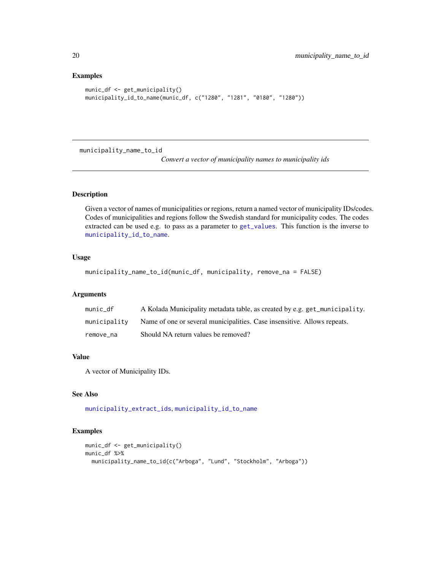#### Examples

```
munic_df <- get_municipality()
municipality_id_to_name(munic_df, c("1280", "1281", "0180", "1280"))
```
<span id="page-19-1"></span>municipality\_name\_to\_id

*Convert a vector of municipality names to municipality ids*

#### Description

Given a vector of names of municipalities or regions, return a named vector of municipality IDs/codes. Codes of municipalities and regions follow the Swedish standard for municipality codes. The codes extracted can be used e.g. to pass as a parameter to [get\\_values](#page-7-1). This function is the inverse to [municipality\\_id\\_to\\_name](#page-18-1).

#### Usage

```
municipality_name_to_id(munic_df, municipality, remove_na = FALSE)
```
#### Arguments

| munic df     | A Kolada Municipality metadata table, as created by e.g. get_municipality. |
|--------------|----------------------------------------------------------------------------|
| municipality | Name of one or several municipalities. Case insensitive. Allows repeats.   |
| remove na    | Should NA return values be removed?                                        |

#### Value

A vector of Municipality IDs.

#### See Also

[municipality\\_extract\\_ids](#page-15-2), [municipality\\_id\\_to\\_name](#page-18-1)

#### Examples

```
munic_df <- get_municipality()
munic_df %>%
  municipality_name_to_id(c("Arboga", "Lund", "Stockholm", "Arboga"))
```
<span id="page-19-0"></span>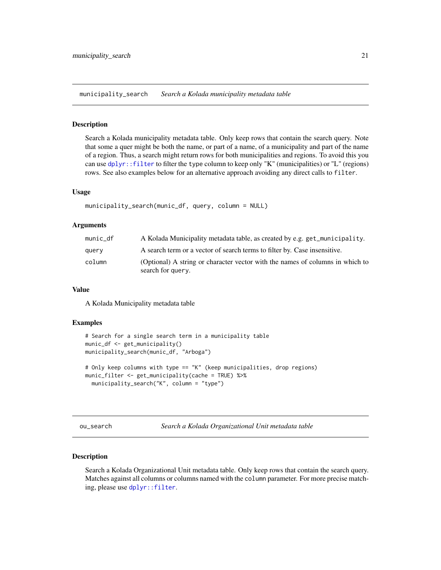<span id="page-20-0"></span>municipality\_search *Search a Kolada municipality metadata table*

#### **Description**

Search a Kolada municipality metadata table. Only keep rows that contain the search query. Note that some a quer might be both the name, or part of a name, of a municipality and part of the name of a region. Thus, a search might return rows for both municipalities and regions. To avoid this you can use [dplyr::filter](#page-0-0) to filter the type column to keep only "K" (municipalities) or "L" (regions) rows. See also examples below for an alternative approach avoiding any direct calls to filter.

#### Usage

```
municipality_search(munic_df, query, column = NULL)
```
#### Arguments

| munic_df | A Kolada Municipality metadata table, as created by e.g. get_municipality.                         |
|----------|----------------------------------------------------------------------------------------------------|
| query    | A search term or a vector of search terms to filter by. Case insensitive.                          |
| column   | (Optional) A string or character vector with the names of columns in which to<br>search for query. |

#### Value

A Kolada Municipality metadata table

#### Examples

```
# Search for a single search term in a municipality table
munic_df <- get_municipality()
municipality_search(munic_df, "Arboga")
# Only keep columns with type == "K" (keep municipalities, drop regions)
munic_filter <- get_municipality(cache = TRUE) %>%
 municipality_search("K", column = "type")
```
ou\_search *Search a Kolada Organizational Unit metadata table*

#### Description

Search a Kolada Organizational Unit metadata table. Only keep rows that contain the search query. Matches against all columns or columns named with the column parameter. For more precise matching, please use [dplyr::filter](#page-0-0).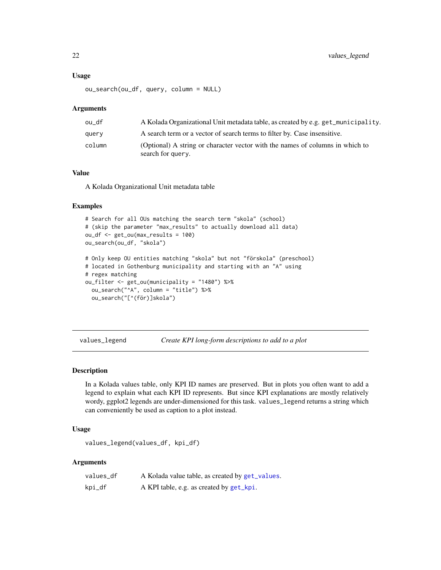#### Usage

ou\_search(ou\_df, query, column = NULL)

#### **Arguments**

| ou df  | A Kolada Organizational Unit metadata table, as created by e.g. get_municipality.                  |
|--------|----------------------------------------------------------------------------------------------------|
| query  | A search term or a vector of search terms to filter by. Case insensitive.                          |
| column | (Optional) A string or character vector with the names of columns in which to<br>search for query. |

#### Value

A Kolada Organizational Unit metadata table

#### Examples

```
# Search for all OUs matching the search term "skola" (school)
# (skip the parameter "max_results" to actually download all data)
ou_df <- get_ou(max_results = 100)
ou_search(ou_df, "skola")
# Only keep OU entities matching "skola" but not "förskola" (preschool)
# located in Gothenburg municipality and starting with an "A" using
# regex matching
```

```
ou_filter <- get_ou(municipality = "1480") %>%
 ou_search("^A", column = "title") %>%
  ou_search("[^(för)]skola")
```

```
values_legend Create KPI long-form descriptions to add to a plot
```
#### Description

In a Kolada values table, only KPI ID names are preserved. But in plots you often want to add a legend to explain what each KPI ID represents. But since KPI explanations are mostly relatively wordy, ggplot2 legends are under-dimensioned for this task. values\_legend returns a string which can conveniently be used as caption to a plot instead.

#### Usage

```
values_legend(values_df, kpi_df)
```
#### Arguments

| values_df | A Kolada value table, as created by get_values. |
|-----------|-------------------------------------------------|
| kpi_df    | A KPI table, e.g. as created by get_kpi.        |

<span id="page-21-0"></span>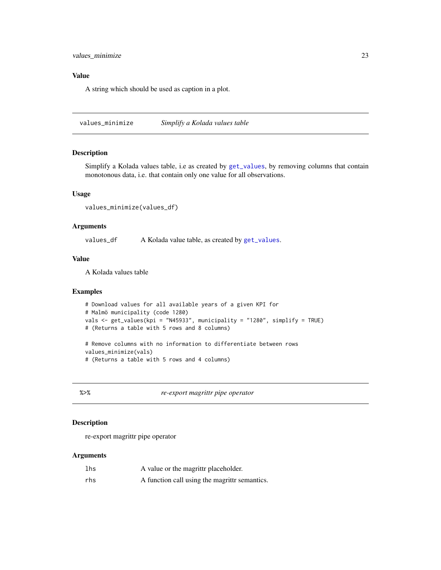#### <span id="page-22-0"></span>Value

A string which should be used as caption in a plot.

values\_minimize *Simplify a Kolada values table*

#### Description

Simplify a Kolada values table, i.e as created by [get\\_values](#page-7-1), by removing columns that contain monotonous data, i.e. that contain only one value for all observations.

#### Usage

```
values_minimize(values_df)
```
#### Arguments

values\_df A Kolada value table, as created by [get\\_values](#page-7-1).

#### Value

A Kolada values table

#### Examples

```
# Download values for all available years of a given KPI for
# Malmö municipality (code 1280)
vals <- get_values(kpi = "N45933", municipality = "1280", simplify = TRUE)
# (Returns a table with 5 rows and 8 columns)
```
# Remove columns with no information to differentiate between rows values\_minimize(vals)

# (Returns a table with 5 rows and 4 columns)

%>% *re-export magrittr pipe operator*

#### Description

re-export magrittr pipe operator

#### Arguments

| lhs | A value or the magrittr placeholder.          |
|-----|-----------------------------------------------|
| rhs | A function call using the magrittr semantics. |